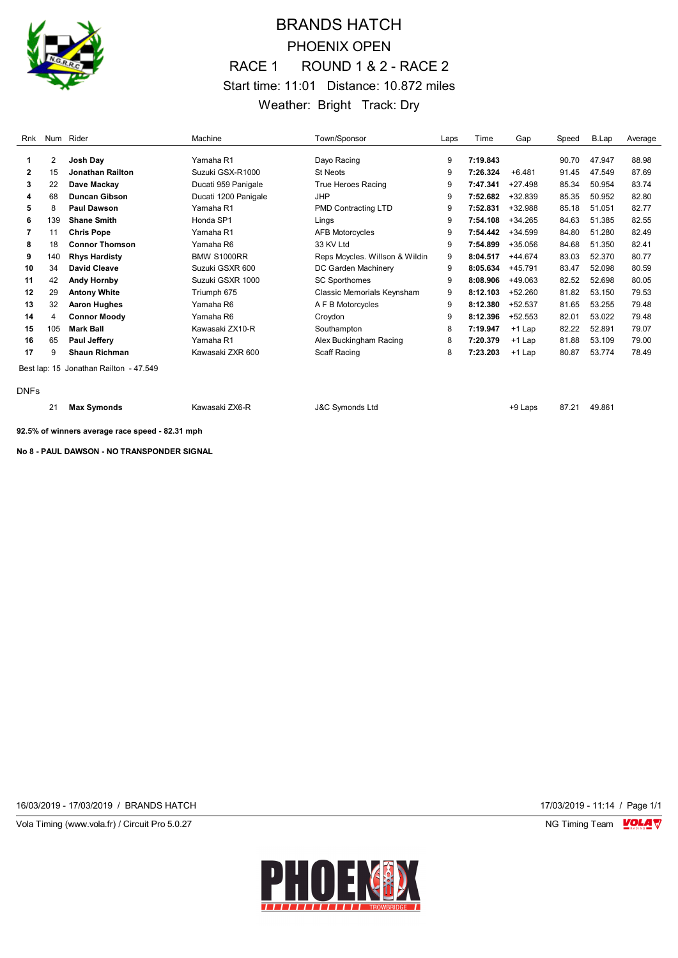

## BRANDS HATCH PHOENIX OPEN RACE 1 ROUND 1 & 2 - RACE 2 Start time: 11:01 Distance: 10.872 miles Weather: Bright Track: Dry

| Rnk         |     | Num Rider                              | Machine              | Town/Sponsor                   | Laps | Time     | Gap       | Speed | B.Lap  | Average |
|-------------|-----|----------------------------------------|----------------------|--------------------------------|------|----------|-----------|-------|--------|---------|
|             | 2   | Josh Day                               | Yamaha R1            | Dayo Racing                    | 9    | 7:19.843 |           | 90.70 | 47.947 | 88.98   |
| 2           | 15  | <b>Jonathan Railton</b>                | Suzuki GSX-R1000     | <b>St Neots</b>                | 9    | 7:26.324 | $+6.481$  | 91.45 | 47.549 | 87.69   |
| 3           | 22  | Dave Mackay                            | Ducati 959 Panigale  | <b>True Heroes Racing</b>      | 9    | 7:47.341 | $+27.498$ | 85.34 | 50.954 | 83.74   |
| 4           | 68  | <b>Duncan Gibson</b>                   | Ducati 1200 Panigale | <b>JHP</b>                     | 9    | 7:52.682 | $+32.839$ | 85.35 | 50.952 | 82.80   |
| 5           | 8   | <b>Paul Dawson</b>                     | Yamaha R1            | <b>PMD Contracting LTD</b>     | 9    | 7:52.831 | +32.988   | 85.18 | 51.051 | 82.77   |
| 6           | 139 | <b>Shane Smith</b>                     | Honda SP1            | Lings                          | 9    | 7:54.108 | $+34.265$ | 84.63 | 51.385 | 82.55   |
| 7           | 11  | <b>Chris Pope</b>                      | Yamaha R1            | <b>AFB Motorcycles</b>         | 9    | 7:54.442 | $+34.599$ | 84.80 | 51.280 | 82.49   |
| 8           | 18  | <b>Connor Thomson</b>                  | Yamaha R6            | 33 KV Ltd                      | 9    | 7:54.899 | $+35.056$ | 84.68 | 51.350 | 82.41   |
| 9           | 140 | <b>Rhys Hardisty</b>                   | <b>BMW S1000RR</b>   | Reps Mcycles. Willson & Wildin | 9    | 8:04.517 | $+44.674$ | 83.03 | 52.370 | 80.77   |
| 10          | 34  | <b>David Cleave</b>                    | Suzuki GSXR 600      | DC Garden Machinery            | 9    | 8:05.634 | $+45.791$ | 83.47 | 52.098 | 80.59   |
| 11          | 42  | <b>Andy Hornby</b>                     | Suzuki GSXR 1000     | <b>SC Sporthomes</b>           | 9    | 8:08.906 | +49.063   | 82.52 | 52.698 | 80.05   |
| 12          | 29  | <b>Antony White</b>                    | Triumph 675          | Classic Memorials Keynsham     | 9    | 8:12.103 | +52.260   | 81.82 | 53.150 | 79.53   |
| 13          | 32  | <b>Aaron Hughes</b>                    | Yamaha R6            | A F B Motorcycles              | 9    | 8:12.380 | $+52.537$ | 81.65 | 53.255 | 79.48   |
| 14          | 4   | <b>Connor Moody</b>                    | Yamaha R6            | Croydon                        | 9    | 8:12.396 | $+52.553$ | 82.01 | 53.022 | 79.48   |
| 15          | 105 | <b>Mark Ball</b>                       | Kawasaki ZX10-R      | Southampton                    | 8    | 7:19.947 | $+1$ Lap  | 82.22 | 52.891 | 79.07   |
| 16          | 65  | <b>Paul Jeffery</b>                    | Yamaha R1            | Alex Buckingham Racing         | 8    | 7:20.379 | $+1$ Lap  | 81.88 | 53.109 | 79.00   |
| 17          | 9   | <b>Shaun Richman</b>                   | Kawasaki ZXR 600     | Scaff Racing                   | 8    | 7:23.203 | $+1$ Lap  | 80.87 | 53.774 | 78.49   |
|             |     | Best lap: 15 Jonathan Railton - 47.549 |                      |                                |      |          |           |       |        |         |
| <b>DNFs</b> |     |                                        |                      |                                |      |          |           |       |        |         |
|             | 21  | <b>Max Symonds</b>                     | Kawasaki ZX6-R       | <b>J&amp;C Symonds Ltd</b>     |      |          | +9 Laps   | 87.21 | 49.861 |         |

**92.5% of winners average race speed - 82.31 mph**

**No 8 - PAUL DAWSON - NO TRANSPONDER SIGNAL**

16/03/2019 - 17/03/2019 / BRANDS HATCH 17/03/2019 - 11:14 / Page 1/1

Vola Timing (www.vola.fr) / Circuit Pro 5.0.27 NG Timing Team Monetary NG Timing Team Monetary

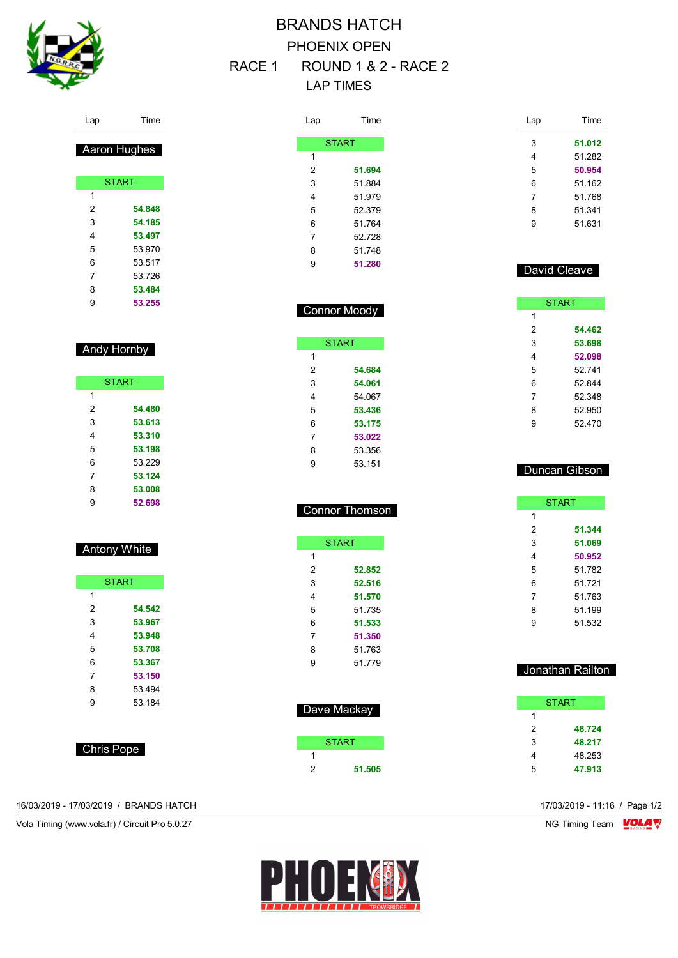

# BRANDS HATCH PHOENIX OPEN RACE 1 ROUND 1 & 2 - RACE 2

LAP TIMES

Connor Moody

**START** 

 **54.684 54.061** 54.067 **53.436 53.175 53.022** 53.356 53.151

Connor Thomson

**START** 

 **52.852 52.516 51.570** 51.735 **51.533 51.350** 51.763 51.779

Dave Mackay

START

**51.505**

Lap

| _ap            | Time   |  |
|----------------|--------|--|
|                |        |  |
| <b>START</b>   |        |  |
|                |        |  |
| $\overline{2}$ | 51.694 |  |
|                | 51.884 |  |
|                | 51.979 |  |
| 5              | 52.379 |  |
|                | 51.764 |  |
|                | 52.728 |  |
|                | 51.748 |  |
|                | 51.280 |  |

David Cleave

Time

 **51.012** 51.282 **50.954** 51.162 51.768 51.341 51.631

|   | <b>START</b> |
|---|--------------|
| 1 |              |
| 2 | 54.462       |
| 3 | 53.698       |
| 4 | 52.098       |
| 5 | 52.741       |
| 6 | 52.844       |
| 7 | 52.348       |
| 8 | 52.950       |
| 9 | 52.470       |

#### Duncan Gibson

|   | <b>START</b> |
|---|--------------|
| 1 |              |
| 2 | 51.344       |
| 3 | 51.069       |
| 4 | 50.952       |
| 5 | 51.782       |
| 6 | 51721        |
| 7 | 51.763       |
| 8 | 51.199       |
| 9 | 51.532       |

#### Jonathan Railton

|   | START  |
|---|--------|
| 1 |        |
| 2 | 48.724 |
| 3 | 48.217 |
| 4 | 48.253 |
| 5 | 47.913 |

| l an<br>ı ime |
|---------------|
|---------------|

|   | Aaron Hughes |
|---|--------------|
|   |              |
|   | <b>START</b> |
| 1 |              |
| 2 | 54.848       |
| 3 | 54.185       |
| 4 | 53.497       |
| 5 | 53 970       |
| 6 | 53 517       |
| 7 | 53726        |
| 8 | 53.484       |
| 9 | 53.255       |

#### Andy Hornby

|   | <b>START</b> |
|---|--------------|
| 1 |              |
| 2 | 54.480       |
| 3 | 53.613       |
| 4 | 53.310       |
| 5 | 53.198       |
| 6 | 53 229       |
| 7 | 53.124       |
| 8 | 53.008       |
| 9 | 52.698       |

### Antony White

|   | <b>START</b> |
|---|--------------|
| 1 |              |
| 2 | 54.542       |
| 3 | 53.967       |
| 4 | 53.948       |
| 5 | 53.708       |
| 6 | 53.367       |
| 7 | 53.150       |
| 8 | 53 494       |
| 9 | 53.184       |
|   |              |

Chris Pope

16/03/2019 - 17/03/2019 / BRANDS HATCH 17/03/2019 - 11:16 / Page 1/2

Vola Timing (www.vola.fr) / Circuit Pro 5.0.27 NG Timing Team VOLA V

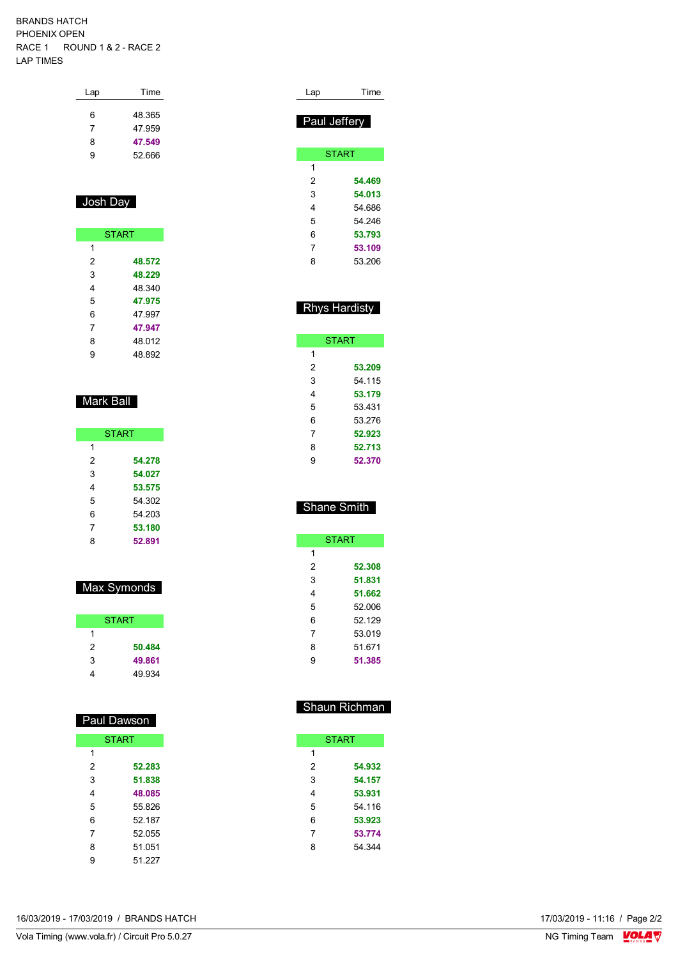#### BRANDS HATCH PHOENIX OPEN RACE 1 ROUND 1 & 2 - RACE 2 LAP TIMES

| Time   |
|--------|
| 48.365 |
| 47.959 |
| 47.549 |
| 52.666 |
|        |

### Josh Day

|   | <b>START</b> |
|---|--------------|
| 1 |              |
| 2 | 48.572       |
| 3 | 48.229       |
| 4 | 48.340       |
| 5 | 47.975       |
| 6 | 47 997       |
| 7 | 47.947       |
| 8 | 48.012       |
| 9 | 48 892       |

### Mark Ball

|   | <b>START</b> |
|---|--------------|
| 1 |              |
| 2 | 54.278       |
| 3 | 54.027       |
| 4 | 53.575       |
| 5 | 54 302       |
| 6 | 54 203       |
| 7 | 53.180       |
| 8 | 52.891       |

### Max Symonds

|   | <b>START</b> |
|---|--------------|
| 1 |              |
| 2 | 50.484       |
| 3 | 49.861       |
|   | 49.934       |

| Paul Dawson  |        |  |  |  |  |
|--------------|--------|--|--|--|--|
| <b>START</b> |        |  |  |  |  |
| 1            |        |  |  |  |  |
| 2            | 52.283 |  |  |  |  |
| 3            | 51.838 |  |  |  |  |
| 4            | 48.085 |  |  |  |  |
| 5            | 55826  |  |  |  |  |
| 6            | 52.187 |  |  |  |  |
| 7            | 52.055 |  |  |  |  |
| 8            | 51 051 |  |  |  |  |
| 9            | 51 227 |  |  |  |  |

| Lap          | Time         |  |  |  |  |  |
|--------------|--------------|--|--|--|--|--|
| Paul Jeffery |              |  |  |  |  |  |
|              | <b>START</b> |  |  |  |  |  |
| 1            |              |  |  |  |  |  |
| 2            | 54.469       |  |  |  |  |  |
| 3            | 54.013       |  |  |  |  |  |
| 4            | 54.686       |  |  |  |  |  |
| 5            | 54 246       |  |  |  |  |  |
| 6            | 53.793       |  |  |  |  |  |
| 7            | 53.109       |  |  |  |  |  |
| 8            | 53.206       |  |  |  |  |  |

### Rhys Hardisty

| <b>START</b> |        |  |  |  |  |
|--------------|--------|--|--|--|--|
| 1            |        |  |  |  |  |
| 2            | 53.209 |  |  |  |  |
| 3            | 54 115 |  |  |  |  |
| 4            | 53.179 |  |  |  |  |
| 5            | 53431  |  |  |  |  |
| 6            | 53 276 |  |  |  |  |
| 7            | 52.923 |  |  |  |  |
| 8            | 52.713 |  |  |  |  |
| 9            | 52.370 |  |  |  |  |

### Shane Smith

| <b>START</b> |        |  |  |  |
|--------------|--------|--|--|--|
| 1            |        |  |  |  |
| 2            | 52.308 |  |  |  |
| 3            | 51.831 |  |  |  |
| 4            | 51.662 |  |  |  |
| 5            | 52 006 |  |  |  |
| 6            | 52 129 |  |  |  |
| 7            | 53.019 |  |  |  |
| 8            | 51 671 |  |  |  |
| g            | 51.385 |  |  |  |

### Shaun Richman

| <b>START</b> |        |  |  |  |  |
|--------------|--------|--|--|--|--|
| 1            |        |  |  |  |  |
| 2            | 54.932 |  |  |  |  |
| 3            | 54.157 |  |  |  |  |
| 4            | 53.931 |  |  |  |  |
| 5            | 54.116 |  |  |  |  |
| 6            | 53.923 |  |  |  |  |
| 7            | 53.774 |  |  |  |  |
| 8            | 54 344 |  |  |  |  |
|              |        |  |  |  |  |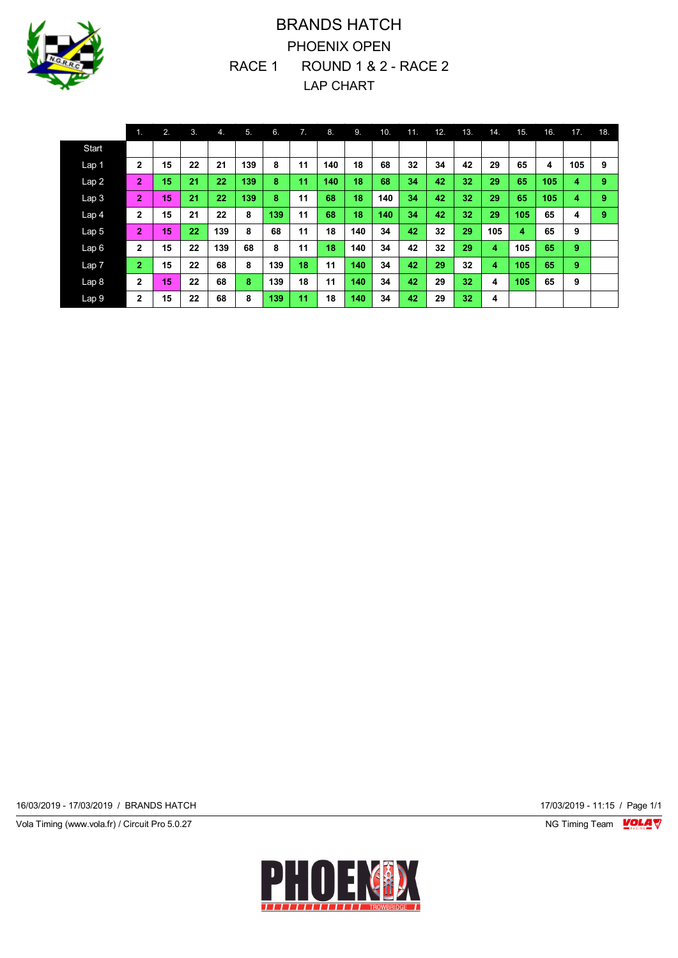

## BRANDS HATCH PHOENIX OPEN RACE 1 ROUND 1 & 2 - RACE 2 LAP CHART

|                  | $\mathbf{1}$   | 2. | 3. | 4.  | 5.  | 6.  | 7. | 8.  | 9.  | 10. | 11. | 12. | 13. | 14. | 15.            | 16. | 17. | 18. |
|------------------|----------------|----|----|-----|-----|-----|----|-----|-----|-----|-----|-----|-----|-----|----------------|-----|-----|-----|
| Start            |                |    |    |     |     |     |    |     |     |     |     |     |     |     |                |     |     |     |
| Lap <sub>1</sub> | $\mathbf{2}$   | 15 | 22 | 21  | 139 | 8   | 11 | 140 | 18  | 68  | 32  | 34  | 42  | 29  | 65             | 4   | 105 | 9   |
| Lap2             | $\overline{2}$ | 15 | 21 | 22  | 139 | 8   | 11 | 140 | 18  | 68  | 34  | 42  | 32  | 29  | 65             | 105 | 4   | 9   |
| Lap <sub>3</sub> | $\overline{2}$ | 15 | 21 | 22  | 139 | 8   | 11 | 68  | 18  | 140 | 34  | 42  | 32  | 29  | 65             | 105 | 4   | 9   |
| Lap 4            | $\overline{2}$ | 15 | 21 | 22  | 8   | 139 | 11 | 68  | 18  | 140 | 34  | 42  | 32  | 29  | 105            | 65  | 4   | 9   |
| Lap <sub>5</sub> | $\overline{2}$ | 15 | 22 | 139 | 8   | 68  | 11 | 18  | 140 | 34  | 42  | 32  | 29  | 105 | $\overline{4}$ | 65  | 9   |     |
| Lap6             | $\mathbf{2}$   | 15 | 22 | 139 | 68  | 8   | 11 | 18  | 140 | 34  | 42  | 32  | 29  | 4   | 105            | 65  | 9   |     |
| Lap 7            | $\overline{2}$ | 15 | 22 | 68  | 8   | 139 | 18 | 11  | 140 | 34  | 42  | 29  | 32  | 4   | 105            | 65  | 9   |     |
| Lap <sub>8</sub> | $\overline{2}$ | 15 | 22 | 68  | 8   | 139 | 18 | 11  | 140 | 34  | 42  | 29  | 32  | 4   | 105            | 65  | 9   |     |
| Lap 9            | $\mathbf{2}$   | 15 | 22 | 68  | 8   | 139 | 11 | 18  | 140 | 34  | 42  | 29  | 32  | 4   |                |     |     |     |

16/03/2019 - 17/03/2019 / BRANDS HATCH 17/03/2019 - 11:15 / Page 1/1

Vola Timing (www.vola.fr) / Circuit Pro 5.0.27 **NG Timing Team Monet Account Property** 

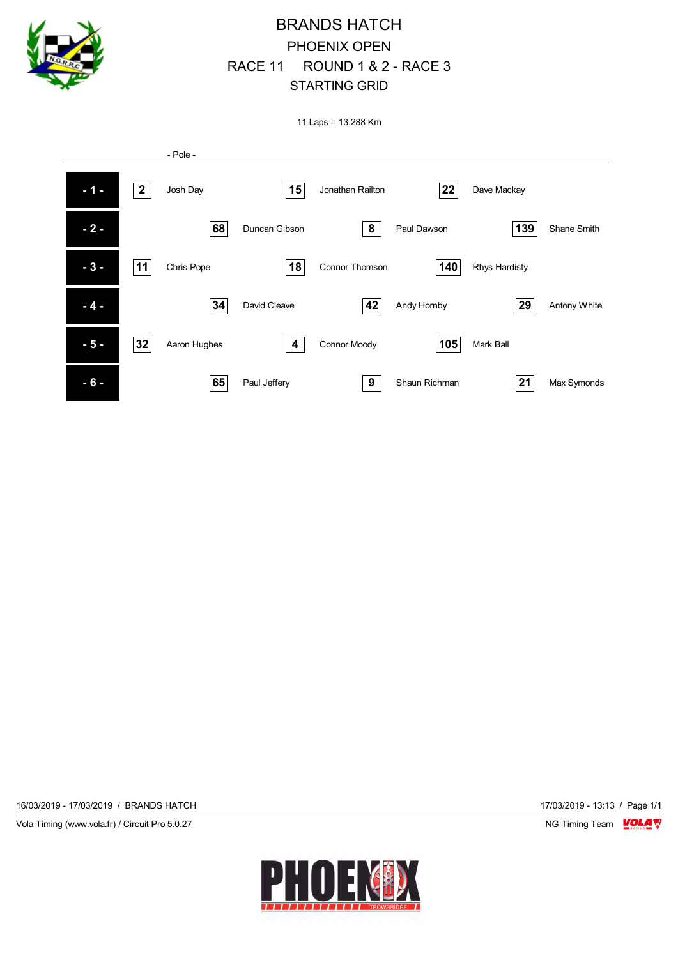

## BRANDS HATCH PHOENIX OPEN RACE 11 ROUND 1 & 2 - RACE 3 STARTING GRID

11 Laps = 13.288 Km



16/03/2019 - 17/03/2019 / BRANDS HATCH 17/03/2019 - 13:13 / Page 1/1

Vola Timing (www.vola.fr) / Circuit Pro 5.0.27 NG Timing Team NG Timing Team NG Timing Team NG Timing Team NG

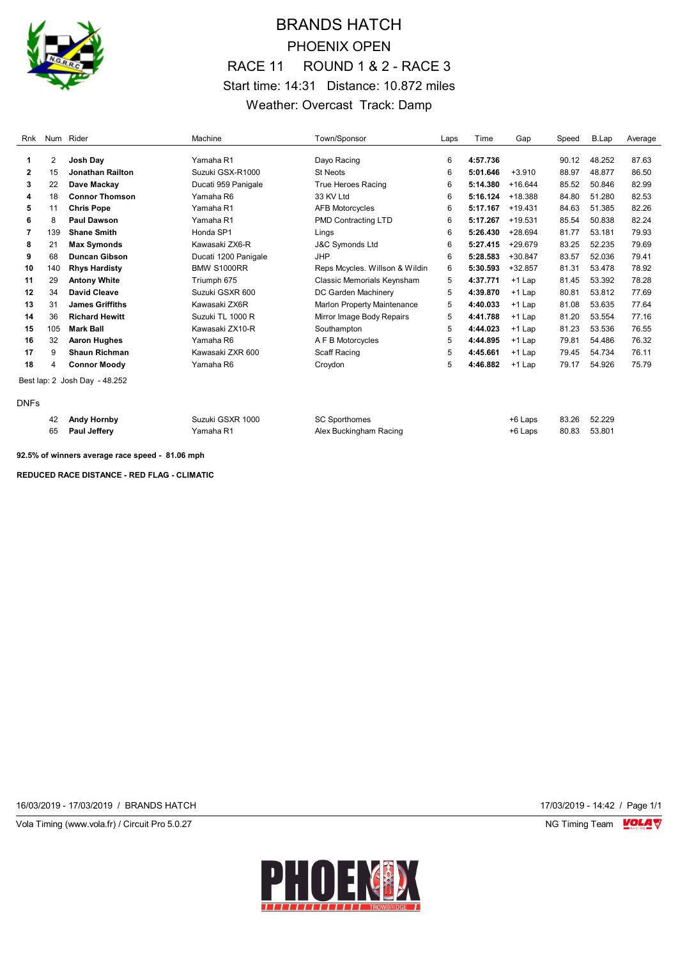

## BRANDS HATCH PHOENIX OPEN RACE 11 ROUND 1 & 2 - RACE 3 Start time: 14:31 Distance: 10.872 miles Weather: Overcast Track: Damp

| Rnk          |     | Num Rider                     | Machine              | Town/Sponsor                       | Laps | Time     | Gap       | Speed | B.Lap  | Average |
|--------------|-----|-------------------------------|----------------------|------------------------------------|------|----------|-----------|-------|--------|---------|
| 1            | 2   | Josh Dav                      | Yamaha R1            | Davo Racing                        | 6    | 4:57.736 |           | 90.12 | 48.252 | 87.63   |
| $\mathbf{2}$ | 15  | <b>Jonathan Railton</b>       | Suzuki GSX-R1000     | <b>St Neots</b>                    | 6    | 5:01.646 | $+3.910$  | 88.97 | 48.877 | 86.50   |
| 3            | 22  | Dave Mackay                   | Ducati 959 Panigale  | <b>True Heroes Racing</b>          | 6    | 5:14.380 | $+16.644$ | 85.52 | 50.846 | 82.99   |
| 4            | 18  | <b>Connor Thomson</b>         | Yamaha R6            | 33 KV Ltd                          | 6    | 5:16.124 | +18.388   | 84.80 | 51.280 | 82.53   |
| 5            | 11  | <b>Chris Pope</b>             | Yamaha R1            | <b>AFB Motorcycles</b>             | 6    | 5:17.167 | $+19.431$ | 84.63 | 51.385 | 82.26   |
| 6            | 8   | <b>Paul Dawson</b>            | Yamaha R1            | PMD Contracting LTD                | 6    | 5:17.267 | $+19.531$ | 85.54 | 50.838 | 82.24   |
| 7            | 139 | <b>Shane Smith</b>            | Honda SP1            | Lings                              | 6    | 5:26.430 | $+28.694$ | 81.77 | 53.181 | 79.93   |
| 8            | 21  | <b>Max Symonds</b>            | Kawasaki ZX6-R       | J&C Symonds Ltd                    | 6    | 5:27.415 | +29.679   | 83.25 | 52.235 | 79.69   |
| 9            | 68  | <b>Duncan Gibson</b>          | Ducati 1200 Panigale | <b>JHP</b>                         | 6    | 5:28.583 | $+30.847$ | 83.57 | 52.036 | 79.41   |
| 10           | 140 | <b>Rhys Hardisty</b>          | <b>BMW S1000RR</b>   | Reps Mcycles. Willson & Wildin     | 6    | 5:30.593 | $+32.857$ | 81.31 | 53.478 | 78.92   |
| 11           | 29  | <b>Antony White</b>           | Triumph 675          | Classic Memorials Keynsham         | 5    | 4:37.771 | $+1$ Lap  | 81.45 | 53.392 | 78.28   |
| 12           | 34  | David Cleave                  | Suzuki GSXR 600      | DC Garden Machinery                | 5    | 4:39.870 | $+1$ Lap  | 80.81 | 53.812 | 77.69   |
| 13           | 31  | <b>James Griffiths</b>        | Kawasaki ZX6R        | <b>Marlon Property Maintenance</b> | 5    | 4:40.033 | $+1$ Lap  | 81.08 | 53.635 | 77.64   |
| 14           | 36  | <b>Richard Hewitt</b>         | Suzuki TL 1000 R     | Mirror Image Body Repairs          | 5    | 4:41.788 | $+1$ Lap  | 81.20 | 53.554 | 77.16   |
| 15           | 105 | <b>Mark Ball</b>              | Kawasaki ZX10-R      | Southampton                        | 5    | 4:44.023 | $+1$ Lap  | 81.23 | 53.536 | 76.55   |
| 16           | 32  | <b>Aaron Hughes</b>           | Yamaha R6            | A F B Motorcycles                  | 5    | 4:44.895 | $+1$ Lap  | 79.81 | 54.486 | 76.32   |
| 17           | 9   | <b>Shaun Richman</b>          | Kawasaki ZXR 600     | Scaff Racing                       | 5    | 4:45.661 | $+1$ Lap  | 79.45 | 54.734 | 76.11   |
| 18           | 4   | <b>Connor Moody</b>           | Yamaha R6            | Croydon                            | 5    | 4:46.882 | $+1$ Lap  | 79.17 | 54.926 | 75.79   |
|              |     | Best lap: 2 Josh Day - 48.252 |                      |                                    |      |          |           |       |        |         |
| <b>DNFs</b>  |     |                               |                      |                                    |      |          |           |       |        |         |

| 42 Andy Hornby  | Suzuki GSXR 1000 | <b>SC Sporthomes</b>   | +6 Laps | 83.26 52.229 |              |
|-----------------|------------------|------------------------|---------|--------------|--------------|
| 65 Paul Jefferv | Yamaha R1        | Alex Buckingham Racing | +6 Laps |              | 80.83 53.801 |

**92.5% of winners average race speed - 81.06 mph**

**REDUCED RACE DISTANCE - RED FLAG - CLIMATIC**

16/03/2019 - 17/03/2019 / BRANDS HATCH 17/03/2019 - 14:42 / Page 1/1

Vola Timing (www.vola.fr) / Circuit Pro 5.0.27 **NG Timing Team MOLA View Area** NG Timing Team MOLA View Area NG Timing Team MOLA View Area NG Timing Team MOLA View Area NG Timing Team MOLA View Area NG Timing Team MOLA Vie

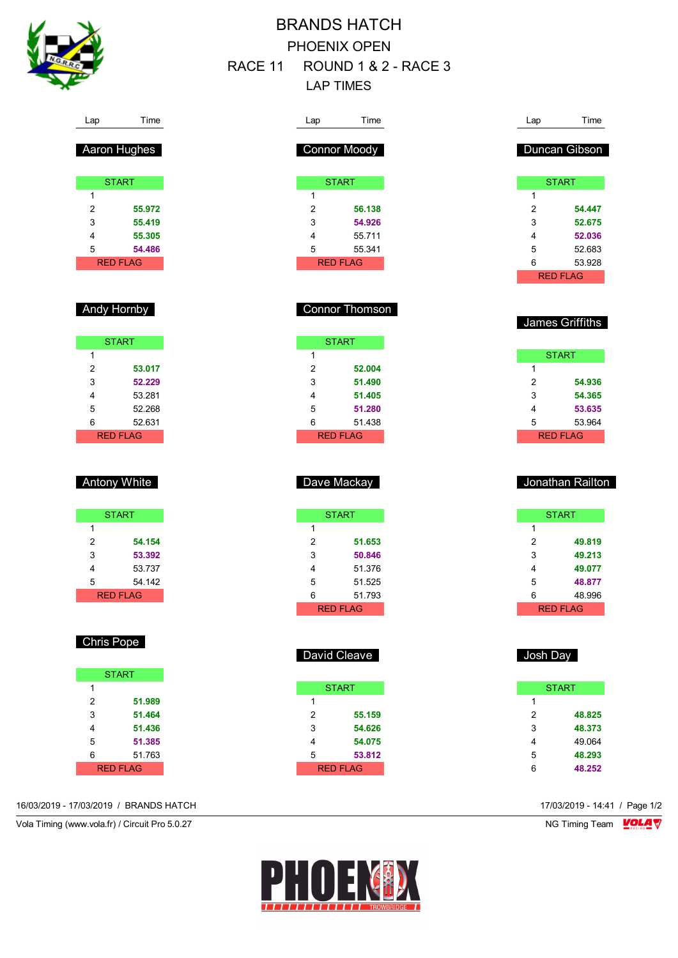

## BRANDS HATCH PHOENIX OPEN RACE 11 ROUND 1 & 2 - RACE 3 LAP TIMES

RED FLAG

David Cleave

**START** 

2 **55.159** 3 **54.626** 4 **54.075** 5 **53.812** RED FLAG

1

| Time<br>Lap                       | Lap            | Time             |
|-----------------------------------|----------------|------------------|
|                                   |                |                  |
| <b>Connor Moody</b>               |                | Duncan Gibson    |
|                                   |                |                  |
| <b>START</b>                      |                | <b>START</b>     |
| 1                                 | 1              |                  |
| $\overline{2}$<br>56.138          | $\overline{2}$ | 54.447           |
| 3<br>54.926                       | 3              | 52.675           |
| $\overline{\mathbf{4}}$<br>55.711 | 4              | 52.036           |
| 5<br>55.341                       | 5              | 52.683           |
| <b>RED FLAG</b>                   | 6              | 53.928           |
|                                   |                | <b>RED FLAG</b>  |
|                                   |                |                  |
|                                   |                |                  |
| <b>Connor Thomson</b>             |                |                  |
|                                   |                | James Griffiths  |
| <b>START</b>                      |                |                  |
| 1                                 |                | <b>START</b>     |
| $\overline{2}$<br>52.004          | 1              |                  |
| 3<br>51.490                       | $\overline{2}$ | 54.936           |
| 4<br>51.405                       | 3              | 54.365           |
| 5<br>51.280                       | 4              | 53.635           |
| 6<br>51.438                       | 5              | 53.964           |
| <b>RED FLAG</b>                   |                | <b>RED FLAG</b>  |
|                                   |                |                  |
|                                   |                |                  |
|                                   |                |                  |
|                                   |                |                  |
| Dave Mackay                       |                | Jonathan Railton |
|                                   |                |                  |
| <b>START</b>                      |                | <b>START</b>     |
| 1                                 | 1              |                  |
| 51.653                            | $\overline{2}$ | 49.819           |
| $\overline{c}$<br>50.846          | 3              | 49.213           |
| 3<br>4                            | 4              | 49.077           |
| 51.376<br>5<br>51.525             | 5              | 48.877           |

| 40.990   |
|----------|
| RED ELAG |

| Josh Day |   |              |  |  |  |
|----------|---|--------------|--|--|--|
|          |   | <b>START</b> |  |  |  |
|          | 1 |              |  |  |  |
|          | 2 | 48.825       |  |  |  |
|          | 3 | 48.373       |  |  |  |
|          | 4 | 49.064       |  |  |  |
|          | 5 | 48.293       |  |  |  |
|          | 6 | 48.252       |  |  |  |

| Aaron Hughes |  |
|--------------|--|
|              |  |

Lap Time

| <b>START</b> |           |  |
|--------------|-----------|--|
| 1            |           |  |
| 2            | 55.972    |  |
| 3            | 55.419    |  |
| 4            | 55.305    |  |
| 5            | 54.486    |  |
|              | RFD FI AG |  |

### Andy Hornby

| <b>START</b> |        |  |
|--------------|--------|--|
| 1            |        |  |
| 2            | 53.017 |  |
| 3            | 52.229 |  |
| 4            | 53.281 |  |
| 5            | 52.268 |  |
| 6            | 52.631 |  |
| RFD FI AG    |        |  |

### Antony White

|   | <b>START</b>     |
|---|------------------|
| 1 |                  |
| 2 | 54.154           |
| 3 | 53.392           |
| 4 | 53.737           |
| 5 | 54 142           |
|   | <b>RFD FI AG</b> |

### Chris Pope

|   | <b>START</b> |
|---|--------------|
| 1 |              |
| 2 | 51.989       |
| 3 | 51.464       |
| 4 | 51.436       |
| 5 | 51.385       |
| 6 | 51.763       |
|   | RFD FI AG    |

#### 16/03/2019 - 17/03/2019 / BRANDS HATCH 17/03/2019 - 14:41 / Page 1/2

Vola Timing (www.vola.fr) / Circuit Pro 5.0.27 NG Timing Team NG Timing Team NG Timing Team NG Timing Team NG

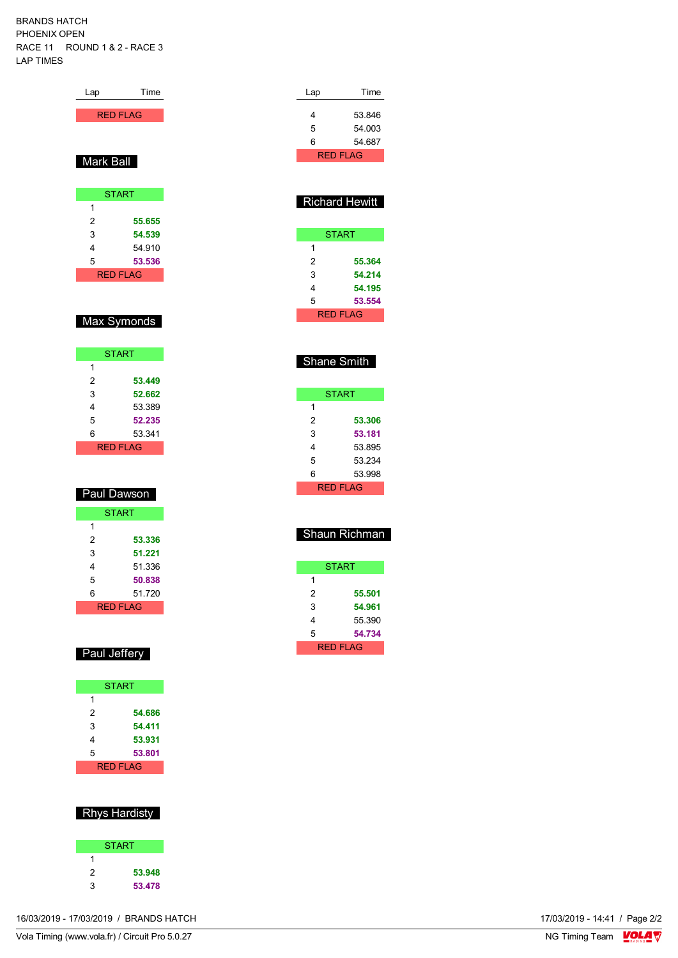BRANDS HATCH PHOENIX OPEN RACE 11 ROUND 1 & 2 - RACE 3 LAP TIMES

| <b>RED FLAG</b> |              |
|-----------------|--------------|
|                 |              |
|                 |              |
| Mark Ball       |              |
|                 |              |
|                 |              |
|                 | <b>START</b> |
| 1               |              |
| 2               | 55.655       |
| 3               | 54.539       |
| 4               | 54.910       |
| 5               | 53.536       |
| <b>RED FLAG</b> |              |
|                 |              |

Lap Time

### Max Symonds

| <b>START</b> |        |  |
|--------------|--------|--|
| 1            |        |  |
| 2            | 53.449 |  |
| 3            | 52.662 |  |
| 4            | 53.389 |  |
| 5            | 52.235 |  |
| 6            | 53.341 |  |
| RFD FI AG    |        |  |

| Paul Dawson  |        |
|--------------|--------|
| <b>START</b> |        |
| 1            |        |
| 2            | 53.336 |
| 3            | 51.221 |
| 4            | 51.336 |
| 5            | 50.838 |
| 6            | 51.720 |
| RFD FI AG    |        |

#### Paul Jeffery

|   | <b>START</b> |
|---|--------------|
| 1 |              |
| 2 | 54.686       |
| 3 | 54.411       |
| 4 | 53.931       |
| 5 | 53.801       |
|   | RFD FI AG    |

### Rhys Hardisty

|   | <b>START</b> |
|---|--------------|
| 1 |              |
| 2 | 53.948       |
| 3 | 53.478       |

| Lap | Time      |  |
|-----|-----------|--|
|     |           |  |
| 4   | 53846     |  |
| 5   | 54.003    |  |
| 6   | 54 687    |  |
|     | RFD FI AG |  |

| <b>Richard Hewitt</b> |        |  |
|-----------------------|--------|--|
|                       | START  |  |
| 1                     |        |  |
| 2                     | 55.364 |  |
| 3                     | 54.214 |  |
| 4                     | 54.195 |  |
| 5                     | 53.554 |  |

RED FLAG

### Shane Smith

| START     |        |  |  |  |  |  |  |  |
|-----------|--------|--|--|--|--|--|--|--|
| 1         |        |  |  |  |  |  |  |  |
| 2         | 53.306 |  |  |  |  |  |  |  |
| 3         | 53.181 |  |  |  |  |  |  |  |
| 4         | 53.895 |  |  |  |  |  |  |  |
| 5         | 53.234 |  |  |  |  |  |  |  |
| 6         | 53.998 |  |  |  |  |  |  |  |
| RFD FI AG |        |  |  |  |  |  |  |  |

| Shaun Richman |        |  |  |  |  |  |  |  |  |
|---------------|--------|--|--|--|--|--|--|--|--|
| START         |        |  |  |  |  |  |  |  |  |
| 1             |        |  |  |  |  |  |  |  |  |
| 2             | 55.501 |  |  |  |  |  |  |  |  |
| 3             | 54.961 |  |  |  |  |  |  |  |  |
| 4             | 55.390 |  |  |  |  |  |  |  |  |
| 5             | 54.734 |  |  |  |  |  |  |  |  |
| RFD FI AG     |        |  |  |  |  |  |  |  |  |

| 17/03/2019 - 14:41 / Page 2/2<br>16/03/2019 - 17/03/2019 / BRANDS HATCH |  |
|-------------------------------------------------------------------------|--|
|                                                                         |  |